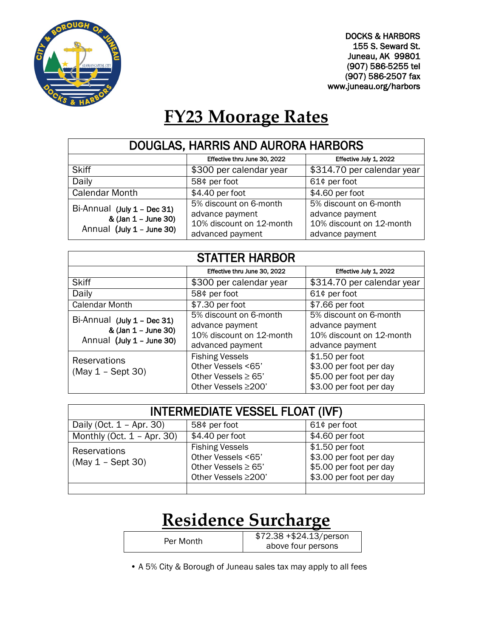

DOCKS & HARBORS 155 S. Seward St. Juneau, AK 99801 (907) 586-5255 tel (907) 586-2507 fax www.juneau.org/harbors

# **FY23 Moorage Rates**

| DOUGLAS, HARRIS AND AURORA HARBORS                                              |                                                                                           |                                                                                          |
|---------------------------------------------------------------------------------|-------------------------------------------------------------------------------------------|------------------------------------------------------------------------------------------|
|                                                                                 | Effective thru June 30, 2022                                                              | Effective July 1, 2022                                                                   |
| <b>Skiff</b>                                                                    | \$300 per calendar year                                                                   | \$314.70 per calendar year                                                               |
| Daily                                                                           | 58¢ per foot                                                                              | 61¢ per foot                                                                             |
| <b>Calendar Month</b>                                                           | $$4.40$ per foot                                                                          | \$4.60 per foot                                                                          |
| Bi-Annual (July 1 - Dec 31)<br>& (Jan 1 - June 30)<br>Annual (July 1 - June 30) | 5% discount on 6-month<br>advance payment<br>10% discount on 12-month<br>advanced payment | 5% discount on 6-month<br>advance payment<br>10% discount on 12-month<br>advance payment |

| <b>STATTER HARBOR</b>                                                             |                                                                                                |                                                                                                  |
|-----------------------------------------------------------------------------------|------------------------------------------------------------------------------------------------|--------------------------------------------------------------------------------------------------|
|                                                                                   | Effective thru June 30, 2022                                                                   | Effective July 1, 2022                                                                           |
| <b>Skiff</b>                                                                      | \$300 per calendar year                                                                        | \$314.70 per calendar year                                                                       |
| Daily                                                                             | 58¢ per foot                                                                                   | 61¢ per foot                                                                                     |
| <b>Calendar Month</b>                                                             | \$7.30 per foot                                                                                | $$7.66$ per foot                                                                                 |
| Bi-Annual (July 1 - Dec 31)<br>& (Jan 1 - June 30)<br>Annual $(July 1 - June 30)$ | 5% discount on 6-month<br>advance payment<br>10% discount on 12-month<br>advanced payment      | 5% discount on 6-month<br>advance payment<br>10% discount on 12-month<br>advance payment         |
| <b>Reservations</b><br>$(May 1 - Sept 30)$                                        | <b>Fishing Vessels</b><br>Other Vessels <65'<br>Other Vessels $\geq 65$<br>Other Vessels ≥200' | \$1.50 per foot<br>\$3.00 per foot per day<br>\$5.00 per foot per day<br>\$3.00 per foot per day |

| <b>INTERMEDIATE VESSEL FLOAT (IVF)</b> |                                                                                                 |                                                                                                  |
|----------------------------------------|-------------------------------------------------------------------------------------------------|--------------------------------------------------------------------------------------------------|
| Daily (Oct. $1 -$ Apr. 30)             | 58¢ per foot                                                                                    | 61¢ per foot                                                                                     |
| Monthly (Oct. $1 -$ Apr. 30)           | \$4.40 per foot                                                                                 | \$4.60 per foot                                                                                  |
| Reservations<br>$(May 1 - Sept 30)$    | <b>Fishing Vessels</b><br>Other Vessels <65'<br>Other Vessels $\geq 65'$<br>Other Vessels ≥200' | \$1.50 per foot<br>\$3.00 per foot per day<br>\$5.00 per foot per day<br>\$3.00 per foot per day |

### **Residence Surcharge**

| Per Month | $$72.38 + $24.13/person$ |
|-----------|--------------------------|
|           | above four persons       |

• A 5% City & Borough of Juneau sales tax may apply to all fees